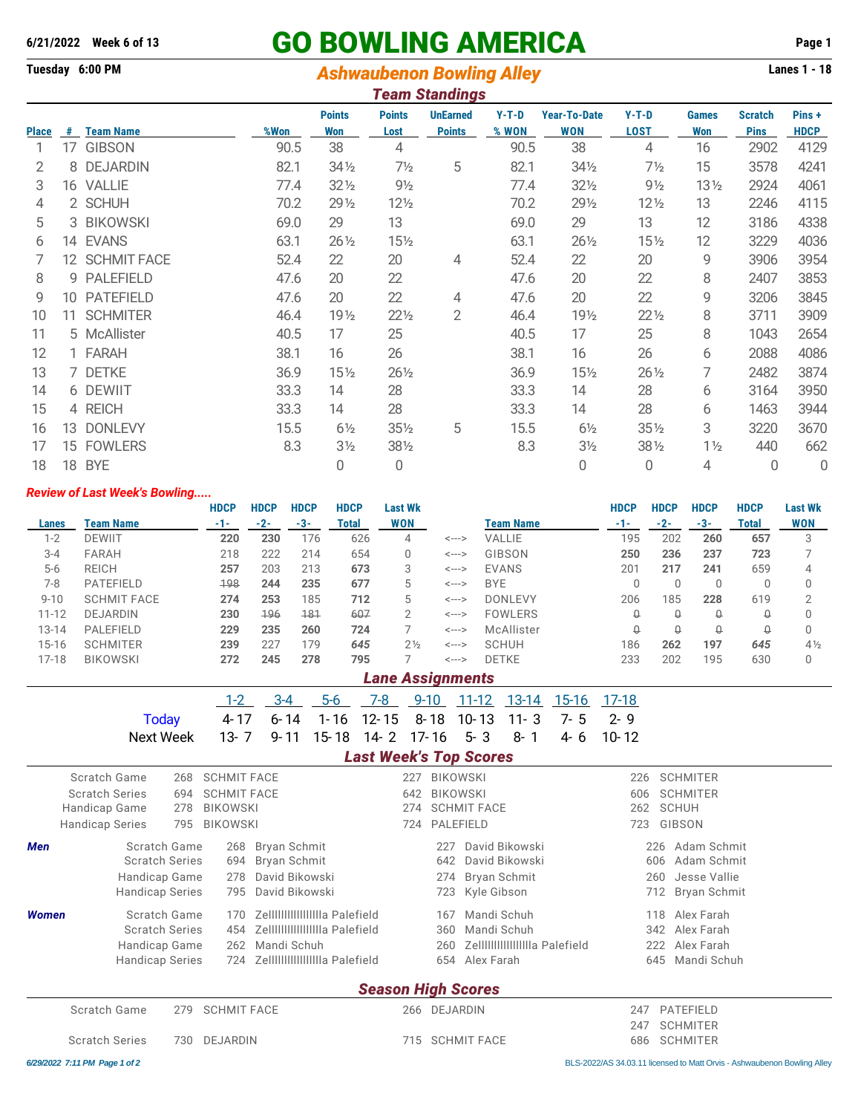# **6/21/2022 Week 6 of 13** GO BOWLING AMERICA **Page 1**

## **Tuesday 6:00 PM** *Ashwaubenon Bowling Alley* **Lanes 1 - 18**

|              | Team Standings |                  |      |                      |                       |                                  |                  |                                   |                        |                     |                               |                      |  |  |
|--------------|----------------|------------------|------|----------------------|-----------------------|----------------------------------|------------------|-----------------------------------|------------------------|---------------------|-------------------------------|----------------------|--|--|
| <b>Place</b> | #              | <b>Team Name</b> | %Won | <b>Points</b><br>Won | <b>Points</b><br>Lost | <b>UnEarned</b><br><b>Points</b> | $Y-T-D$<br>% WON | <b>Year-To-Date</b><br><b>WON</b> | $Y-T-D$<br><b>LOST</b> | <b>Games</b><br>Won | <b>Scratch</b><br><b>Pins</b> | Pins+<br><b>HDCP</b> |  |  |
|              | 17             | <b>GIBSON</b>    | 90.5 | 38                   | 4                     |                                  | 90.5             | 38                                | 4                      | 16                  | 2902                          | 4129                 |  |  |
| 2            | 8              | <b>DEJARDIN</b>  | 82.1 | $34\frac{1}{2}$      | $7\frac{1}{2}$        | 5                                | 82.1             | 341/2                             | 7½                     | 15                  | 3578                          | 4241                 |  |  |
| 3            |                | 16 VALLIE        | 77.4 | $32\frac{1}{2}$      | $9\frac{1}{2}$        |                                  | 77.4             | $32\frac{1}{2}$                   | $9\frac{1}{2}$         | $13\frac{1}{2}$     | 2924                          | 4061                 |  |  |
| 4            |                | 2 SCHUH          | 70.2 | 29 1/2               | $12\frac{1}{2}$       |                                  | 70.2             | $29\frac{1}{2}$                   | $12\frac{1}{2}$        | 13                  | 2246                          | 4115                 |  |  |
| 5            |                | 3 BIKOWSKI       | 69.0 | 29                   | 13                    |                                  | 69.0             | 29                                | 13                     | 12                  | 3186                          | 4338                 |  |  |
| 6            |                | 14 EVANS         | 63.1 | $26\frac{1}{2}$      | 151/2                 |                                  | 63.1             | $26\frac{1}{2}$                   | $15\frac{1}{2}$        | 12                  | 3229                          | 4036                 |  |  |
|              |                | 12 SCHMIT FACE   | 52.4 | 22                   | 20                    | 4                                | 52.4             | 22                                | 20                     | 9                   | 3906                          | 3954                 |  |  |
| 8            | 9              | <b>PALEFIELD</b> | 47.6 | 20                   | 22                    |                                  | 47.6             | 20                                | 22                     | 8                   | 2407                          | 3853                 |  |  |
| 9            | 10             | <b>PATEFIELD</b> | 47.6 | 20                   | 22                    | 4                                | 47.6             | 20                                | 22                     | 9                   | 3206                          | 3845                 |  |  |
| 10           | 11             | <b>SCHMITER</b>  | 46.4 | 19 <sub>2</sub>      | $22\frac{1}{2}$       | $\overline{2}$                   | 46.4             | 191/2                             | $22\frac{1}{2}$        | 8                   | 3711                          | 3909                 |  |  |
| 11           |                | 5 McAllister     | 40.5 | 17                   | 25                    |                                  | 40.5             | 17                                | 25                     | 8                   | 1043                          | 2654                 |  |  |
| 12           |                | 1 FARAH          | 38.1 | 16                   | 26                    |                                  | 38.1             | 16                                | 26                     | 6                   | 2088                          | 4086                 |  |  |
| 13           |                | 7 DETKE          | 36.9 | $15\frac{1}{2}$      | 261/2                 |                                  | 36.9             | $15\frac{1}{2}$                   | $26\frac{1}{2}$        | 7                   | 2482                          | 3874                 |  |  |
| 14           |                | 6 DEWIIT         | 33.3 | 14                   | 28                    |                                  | 33.3             | 14                                | 28                     | 6                   | 3164                          | 3950                 |  |  |
| 15           |                | 4 REICH          | 33.3 | 14                   | 28                    |                                  | 33.3             | 14                                | 28                     | 6                   | 1463                          | 3944                 |  |  |
| 16           | 13             | <b>DONLEVY</b>   | 15.5 | $6\frac{1}{2}$       | $35\frac{1}{2}$       | 5                                | 15.5             | $6\frac{1}{2}$                    | $35\%$                 | 3                   | 3220                          | 3670                 |  |  |
| 17           | 15             | <b>FOWLERS</b>   | 8.3  | $3\frac{1}{2}$       | 38½                   |                                  | 8.3              | $3\frac{1}{2}$                    | $38\%$                 | $1\frac{1}{2}$      | 440                           | 662                  |  |  |
| 18           |                | 18 BYE           |      | 0                    | 0                     |                                  |                  | 0                                 | 0                      | 4                   | 0                             | 0                    |  |  |

#### *Review of Last Week's Bowling.....*

|           |                    | <b>HDCP</b> | <b>HDCP</b> | <b>HDCP</b> | <b>HDCP</b> | <b>Last Wk</b>    |       |                | <b>HDCP</b> | <b>HDCP</b> | <b>HDCP</b> | <b>HDCP</b> | <b>Last Wk</b> |
|-----------|--------------------|-------------|-------------|-------------|-------------|-------------------|-------|----------------|-------------|-------------|-------------|-------------|----------------|
| Lanes     | Team Name          | -1-         | $-2-$       | -3-         | Total       | WON               |       | Team Name      | $-1-$       | $-2-$       | $-3-$       | Total       | <b>WON</b>     |
| $1 - 2$   | <b>DEWIIT</b>      | 220         | 230         | 176         | 626         | 4                 | <---> | VALLIE         | 195         | 202         | 260         | 657         | 3              |
| $3 - 4$   | <b>FARAH</b>       | 218         | 222         | 214         | 654         | 0                 | <---> | GIBSON         | 250         | 236         | 237         | 723         |                |
| $5-6$     | <b>REICH</b>       | 257         | 203         | 213         | 673         | 3                 | <---> | <b>EVANS</b>   | 201         | 217         | 241         | 659         | 4              |
| 7-8       | <b>PATEFIELD</b>   | 198         | 244         | 235         | 677         | 5                 | <---> | <b>BYE</b>     |             | 0           |             |             | 0              |
| $9 - 10$  | <b>SCHMIT FACE</b> | 274         | 253         | 185         | 712         | 5                 | <---> | <b>DONLEVY</b> | 206         | 185         | 228         | 619         | ◠              |
| $11 - 12$ | <b>DEJARDIN</b>    | 230         | 196         | 181         | 607         | 2                 | <---> | <b>FOWLERS</b> | ₩           | $\Omega$    | $\Omega$    | Q           | 0              |
| 13-14     | PALEFIELD          | 229         | 235         | 260         | 724         |                   | <---> | McAllister     |             | $\Omega$    | Q           | Q           | 0              |
| $15 - 16$ | <b>SCHMITER</b>    | 239         | 227         | 179         | 645         | $2\frac{1}{2}$    | <---> | <b>SCHUH</b>   | 186         | 262         | 197         | 645         | $4\frac{1}{2}$ |
| $17 - 18$ | <b>BIKOWSKI</b>    | 272         | 245         | 278         | 795         |                   | <---> | <b>DETKE</b>   | 233         | 202         | 195         | 630         | 0              |
|           |                    |             |             |             |             | l ang Accianmante |       |                |             |             |             |             |                |

|       | Lane Assignments |  |  |  |                              |  |  |  |  |  |  |  |  |  |  |
|-------|------------------|--|--|--|------------------------------|--|--|--|--|--|--|--|--|--|--|
| $1-2$ |                  |  |  |  | 9-10 11-12 13-14 15-16 17-18 |  |  |  |  |  |  |  |  |  |  |

| Today 4-17 6-14 1-16 12-15 8-18 10-13 11-3 7-5 2-9     |  |  |  |  |  |
|--------------------------------------------------------|--|--|--|--|--|
| Next Week 13-7 9-11 15-18 14-2 17-16 5-3 8-1 4-6 10-12 |  |  |  |  |  |

#### *Last Week's Top Scores*

|              | Scratch Game           | 268              | <b>SCHMIT FACE</b> |                                 | 227            | BIKOWSKI  |                                | 226              | <b>SCHMITER</b>            |  |  |  |
|--------------|------------------------|------------------|--------------------|---------------------------------|----------------|-----------|--------------------------------|------------------|----------------------------|--|--|--|
|              | <b>Scratch Series</b>  | 694              | <b>SCHMIT FACE</b> |                                 | 642            | BIKOWSKI  |                                | 606              | <b>SCHMITER</b>            |  |  |  |
|              | Handicap Game          | BIKOWSKI<br>278  |                    |                                 |                |           | 274 SCHMIT FACE                | 262              | <b>SCHUH</b>               |  |  |  |
|              | <b>Handicap Series</b> | 795              | BIKOWSKI           |                                 | 724            | PALEFIELD |                                | 723              | GIBSON                     |  |  |  |
| Men          | Scratch Game           |                  |                    | 268 Bryan Schmit                |                | 227       | David Bikowski                 | 226              | Adam Schmit                |  |  |  |
|              | <b>Scratch Series</b>  | 694 Bryan Schmit |                    | 642                             | David Bikowski | 606       | Adam Schmit                    |                  |                            |  |  |  |
|              | Handicap Game          |                  | 278                | David Bikowski                  |                | 274       | <b>Bryan Schmit</b>            |                  | Jesse Vallie<br>260        |  |  |  |
|              | <b>Handicap Series</b> |                  | 795                | David Bikowski                  |                | 723       | Kyle Gibson                    |                  | <b>Bryan Schmit</b><br>712 |  |  |  |
| <b>Women</b> | Scratch Game           |                  | 170                | Zellillillillillilla Palefield  |                | 167       | Mandi Schuh                    |                  | Alex Farah<br>118          |  |  |  |
|              | <b>Scratch Series</b>  |                  | 454                | Zellilililililililila Palefield |                | 360       | Mandi Schuh                    |                  | 342 Alex Farah             |  |  |  |
|              | Handicap Game          |                  | 262                | Mandi Schuh                     |                | 260       | Zellillillillillilla Palefield |                  | Alex Farah<br>222          |  |  |  |
|              | <b>Handicap Series</b> |                  |                    |                                 |                | 654       | Alex Farah                     | 645              | Mandi Schuh                |  |  |  |
|              |                        |                  |                    |                                 |                |           | <b>Season High Scores</b>      |                  |                            |  |  |  |
|              | Scratch Game           | 279              | <b>SCHMIT FACE</b> |                                 | 266 DEJARDIN   |           |                                | PATEFIELD<br>247 |                            |  |  |  |

### 247 SCHMITER Scratch Series 730 DEJARDIN 715 SCHMIT FACE 686 SCHMITER

*6/29/2022 7:11 PM Page 1 of 2* BLS-2022/AS 34.03.11 licensed to Matt Orvis - Ashwaubenon Bowling Alley